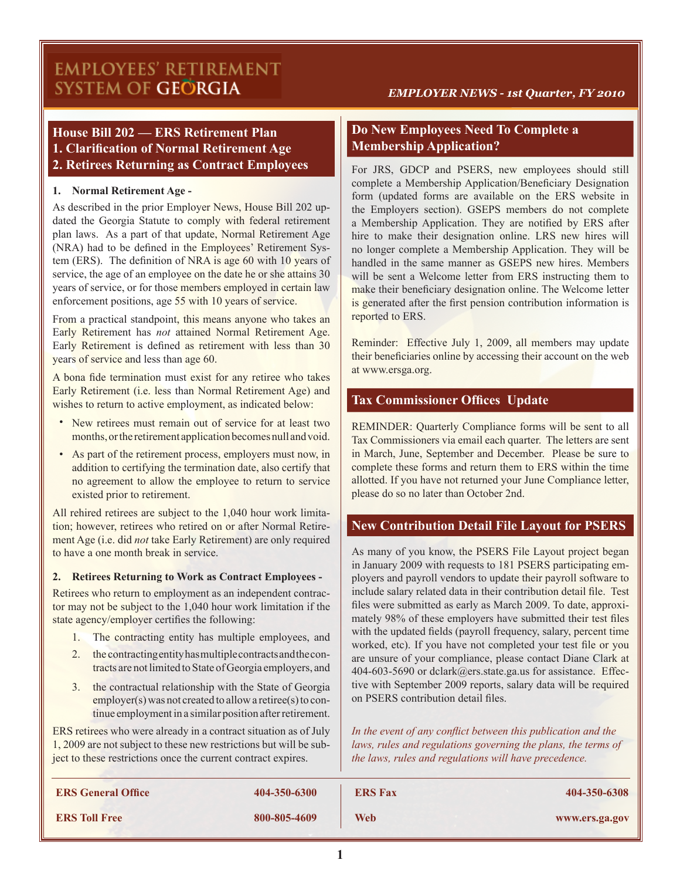# **EMPLOYEES' RETIREMENT** SYSTEM OF GEÖRGIA

#### *EMPLOYER NEWS - 1st Quarter, FY 2010*

# **House Bill 202 — ERS Retirement Plan 1. Clarification of Normal Retirement Age 2. Retirees Returning as Contract Employees**

#### **1. Normal Retirement Age -**

As described in the prior Employer News, House Bill 202 updated the Georgia Statute to comply with federal retirement plan laws. As a part of that update, Normal Retirement Age (NRA) had to be defined in the Employees' Retirement System (ERS). The definition of NRA is age 60 with 10 years of service, the age of an employee on the date he or she attains 30 years of service, or for those members employed in certain law enforcement positions, age 55 with 10 years of service.

From a practical standpoint, this means anyone who takes an Early Retirement has *not* attained Normal Retirement Age. Early Retirement is defined as retirement with less than 30 years of service and less than age 60.

A bona fide termination must exist for any retiree who takes Early Retirement (i.e. less than Normal Retirement Age) and wishes to return to active employment, as indicated below:

- New retirees must remain out of service for at least two months, or the retirement application becomes null and void.
- As part of the retirement process, employers must now, in addition to certifying the termination date, also certify that no agreement to allow the employee to return to service existed prior to retirement.

All rehired retirees are subject to the 1,040 hour work limitation; however, retirees who retired on or after Normal Retirement Age (i.e. did *not* take Early Retirement) are only required to have a one month break in service.

#### **2. Retirees Returning to Work as Contract Employees -**

Retirees who return to employment as an independent contractor may not be subject to the 1,040 hour work limitation if the state agency/employer certifies the following:

- 1. The contracting entity has multiple employees, and
- 2. the contracting entity has multiple contracts and the contracts are not limited to State of Georgia employers, and
- 3. the contractual relationship with the State of Georgia employer(s) was not created to allow a retiree(s) to continue employment in a similar position after retirement.

ERS retirees who were already in a contract situation as of July 1, 2009 are not subject to these new restrictions but will be subject to these restrictions once the current contract expires.

# **Do New Employees Need To Complete a Membership Application?**

For JRS, GDCP and PSERS, new employees should still complete a Membership Application/Beneficiary Designation form (updated forms are available on the ERS website in the Employers section). GSEPS members do not complete a Membership Application. They are notified by ERS after hire to make their designation online. LRS new hires will no longer complete a Membership Application. They will be handled in the same manner as GSEPS new hires. Members will be sent a Welcome letter from ERS instructing them to make their beneficiary designation online. The Welcome letter is generated after the first pension contribution information is reported to ERS.

Reminder: Effective July 1, 2009, all members may update their beneficiaries online by accessing their account on the web at www.ersga.org.

### **Tax Commissioner Offices Update**

REMINDER: Quarterly Compliance forms will be sent to all Tax Commissioners via email each quarter. The letters are sent in March, June, September and December. Please be sure to complete these forms and return them to ERS within the time allotted. If you have not returned your June Compliance letter, please do so no later than October 2nd.

### **New Contribution Detail File Layout for PSERS**

As many of you know, the PSERS File Layout project began in January 2009 with requests to 181 PSERS participating employers and payroll vendors to update their payroll software to include salary related data in their contribution detail file. Test files were submitted as early as March 2009. To date, approximately 98% of these employers have submitted their test files with the updated fields (payroll frequency, salary, percent time worked, etc). If you have not completed your test file or you are unsure of your compliance, please contact Diane Clark at 404-603-5690 or dclark@ers.state.ga.us for assistance. Effective with September 2009 reports, salary data will be required on PSERS contribution detail files.

*In the event of any conflict between this publication and the laws, rules and regulations governing the plans, the terms of the laws, rules and regulations will have precedence.*

| <b>ERS General Office</b> | 404-350-6300 | <b>ERS Fax</b> | 404-350-6308   |
|---------------------------|--------------|----------------|----------------|
| <b>ERS Toll Free</b>      | 800-805-4609 | Web            | www.ers.ga.gov |